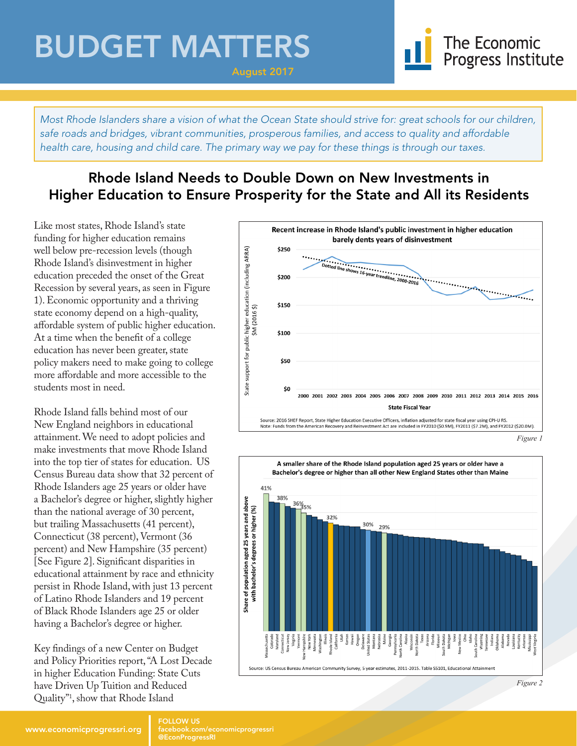## BUDGET MATTERS



*Most Rhode Islanders share a vision of what the Ocean State should strive for: great schools for our children, safe roads and bridges, vibrant communities, prosperous families, and access to quality and affordable health care, housing and child care. The primary way we pay for these things is through our taxes.*

August 2017

### Rhode Island Needs to Double Down on New Investments in Higher Education to Ensure Prosperity for the State and All its Residents

Like most states, Rhode Island's state funding for higher education remains well below pre-recession levels (though Rhode Island's disinvestment in higher education preceded the onset of the Great Recession by several years, as seen in Figure 1). Economic opportunity and a thriving state economy depend on a high-quality, affordable system of public higher education. At a time when the benefit of a college education has never been greater, state policy makers need to make going to college more affordable and more accessible to the students most in need.

Rhode Island falls behind most of our New England neighbors in educational attainment. We need to adopt policies and make investments that move Rhode Island into the top tier of states for education. US Census Bureau data show that 32 percent of Rhode Islanders age 25 years or older have a Bachelor's degree or higher, slightly higher than the national average of 30 percent, but trailing Massachusetts (41 percent), Connecticut (38 percent), Vermont (36 percent) and New Hampshire (35 percent) [See Figure 2]. Significant disparities in educational attainment by race and ethnicity persist in Rhode Island, with just 13 percent of Latino Rhode Islanders and 19 percent of Black Rhode Islanders age 25 or older having a Bachelor's degree or higher.

Key findings of a new Center on Budget and Policy Priorities report, "A Lost Decade in higher Education Funding: State Cuts have Driven Up Tuition and Reduced Quality"1 , show that Rhode Island





#### www.economicprogressri.org FOLLOW US

facebook.com/economicprogressri @EconProgressRI